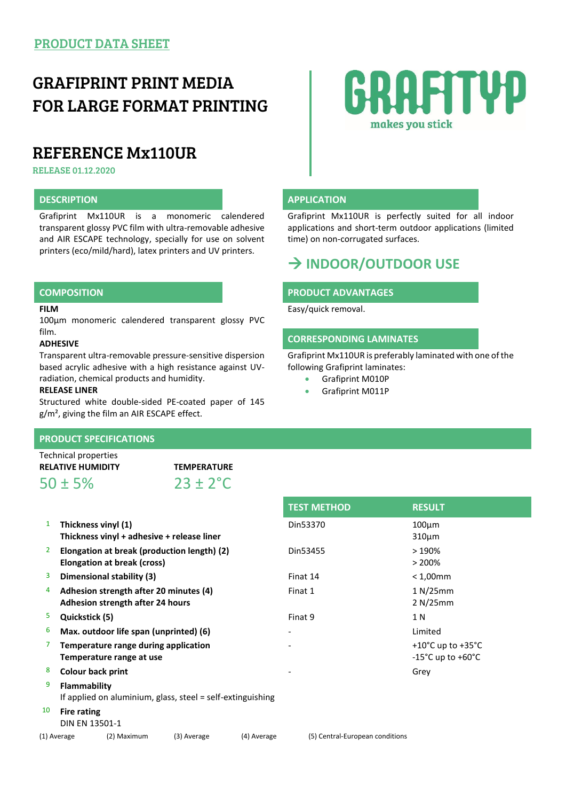## GRAFIPRINT PRINT MEDIA FOR LARGE FORMAT PRINTING

## REFERENCE Mx110UR

RELEASE 01.12.2020

Grafiprint Mx110UR is a monomeric calendered transparent glossy PVC film with ultra-removable adhesive and AIR ESCAPE technology, specially for use on solvent printers (eco/mild/hard), latex printers and UV printers.

### **FILM**

100µm monomeric calendered transparent glossy PVC film.

### **ADHESIVE**

Transparent ultra-removable pressure-sensitive dispersion based acrylic adhesive with a high resistance against UVradiation, chemical products and humidity.

### **RELEASE LINER**

Structured white double-sided PE-coated paper of 145 g/m², giving the film an AIR ESCAPE effect.

## **PRODUCT SPECIFICATIONS**

Technical properties **RELATIVE HUMIDITY TEMPERATURE**

 $50 \pm 5\%$  23 ± 2<sup>°</sup>C





## **DESCRIPTION APPLICATION**

Grafiprint Mx110UR is perfectly suited for all indoor applications and short-term outdoor applications (limited time) on non-corrugated surfaces.

## **INDOOR/OUTDOOR USE**

## **COMPOSITION PRODUCT ADVANTAGES**

Easy/quick removal.

## **CORRESPONDING LAMINATES**

Grafiprint Mx110UR is preferably laminated with one of the following Grafiprint laminates:

- Grafiprint M010P
- Grafiprint M011P

**TEST METHOD RESULT**

| Din53370 | $100 \mu m$<br>$310 \mu m$                                                               |
|----------|------------------------------------------------------------------------------------------|
| Din53455 | >190%<br>> 200%                                                                          |
| Finat 14 | $< 1,00$ mm                                                                              |
| Finat 1  | 1 N/25mm<br>2 N/25mm                                                                     |
| Finat 9  | 1 N                                                                                      |
| -        | Limited                                                                                  |
|          | +10 $^{\circ}$ C up to +35 $^{\circ}$ C<br>$-15^{\circ}$ C up to $+60^{\circ}$ C<br>Grey |
|          |                                                                                          |